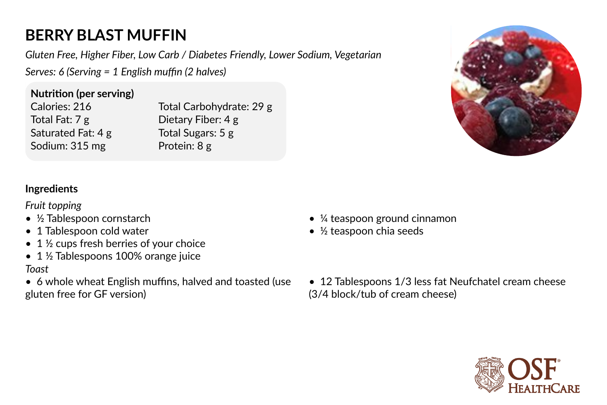## **BERRY BLAST MUFFIN**

*Gluten Free, Higher Fiber, Low Carb / Diabetes Friendly, Lower Sodium, Vegetarian Serves: 6 (Serving = 1 English muffin (2 halves)* 

**Nutrition (per serving)** Calories: 216 Total Fat: 7 g Saturated Fat: 4 g Sodium: 315 mg

Total Carbohydrate: 29 g Dietary Fiber: 4 g Total Sugars: 5 g Protein: 8 g



## **Ingredients**

*Fruit topping*

- ½ Tablespoon cornstarch
- 1 Tablespoon cold water
- 1 ½ cups fresh berries of your choice
- 1 ½ Tablespoons 100% orange juice *Toast*
- 6 whole wheat English muffins, halved and toasted (use gluten free for GF version)
- ¼ teaspoon ground cinnamon
- ½ teaspoon chia seeds
- 12 Tablespoons 1/3 less fat Neufchatel cream cheese (3/4 block/tub of cream cheese)